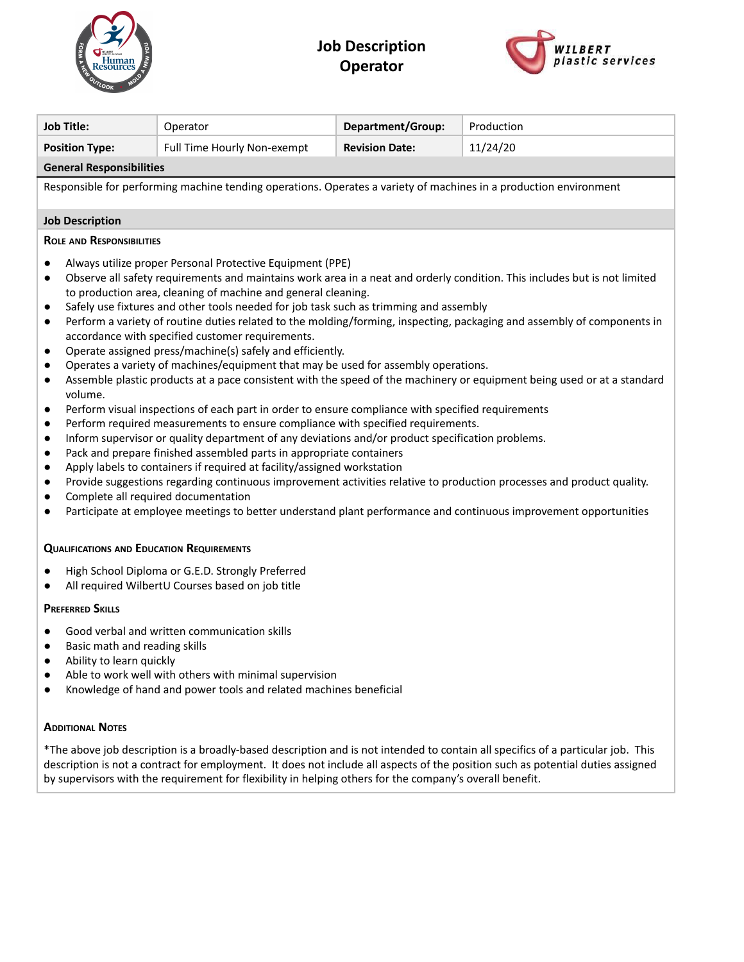

## **Job Description Operator**



| <b>Job Title:</b>                                                                                                                                                                                                                                                                                                                                                                                                                                                                                                                                                                                                                                                                                                                                                                                                                                                                                                                                                                                                                                                                                                                                                                                                                                                                                                                                                                                                                                                                                                                                                                                                                                                                                                                                             | <b>Department/Group:</b><br>Operator                 |  | Production |  |  |  |  |
|---------------------------------------------------------------------------------------------------------------------------------------------------------------------------------------------------------------------------------------------------------------------------------------------------------------------------------------------------------------------------------------------------------------------------------------------------------------------------------------------------------------------------------------------------------------------------------------------------------------------------------------------------------------------------------------------------------------------------------------------------------------------------------------------------------------------------------------------------------------------------------------------------------------------------------------------------------------------------------------------------------------------------------------------------------------------------------------------------------------------------------------------------------------------------------------------------------------------------------------------------------------------------------------------------------------------------------------------------------------------------------------------------------------------------------------------------------------------------------------------------------------------------------------------------------------------------------------------------------------------------------------------------------------------------------------------------------------------------------------------------------------|------------------------------------------------------|--|------------|--|--|--|--|
| <b>Position Type:</b>                                                                                                                                                                                                                                                                                                                                                                                                                                                                                                                                                                                                                                                                                                                                                                                                                                                                                                                                                                                                                                                                                                                                                                                                                                                                                                                                                                                                                                                                                                                                                                                                                                                                                                                                         | Full Time Hourly Non-exempt<br><b>Revision Date:</b> |  | 11/24/20   |  |  |  |  |
| <b>General Responsibilities</b>                                                                                                                                                                                                                                                                                                                                                                                                                                                                                                                                                                                                                                                                                                                                                                                                                                                                                                                                                                                                                                                                                                                                                                                                                                                                                                                                                                                                                                                                                                                                                                                                                                                                                                                               |                                                      |  |            |  |  |  |  |
| Responsible for performing machine tending operations. Operates a variety of machines in a production environment                                                                                                                                                                                                                                                                                                                                                                                                                                                                                                                                                                                                                                                                                                                                                                                                                                                                                                                                                                                                                                                                                                                                                                                                                                                                                                                                                                                                                                                                                                                                                                                                                                             |                                                      |  |            |  |  |  |  |
| <b>Job Description</b>                                                                                                                                                                                                                                                                                                                                                                                                                                                                                                                                                                                                                                                                                                                                                                                                                                                                                                                                                                                                                                                                                                                                                                                                                                                                                                                                                                                                                                                                                                                                                                                                                                                                                                                                        |                                                      |  |            |  |  |  |  |
| <b>ROLE AND RESPONSIBILITIES</b>                                                                                                                                                                                                                                                                                                                                                                                                                                                                                                                                                                                                                                                                                                                                                                                                                                                                                                                                                                                                                                                                                                                                                                                                                                                                                                                                                                                                                                                                                                                                                                                                                                                                                                                              |                                                      |  |            |  |  |  |  |
| Always utilize proper Personal Protective Equipment (PPE)<br>$\bullet$<br>Observe all safety requirements and maintains work area in a neat and orderly condition. This includes but is not limited<br>$\bullet$<br>to production area, cleaning of machine and general cleaning.<br>Safely use fixtures and other tools needed for job task such as trimming and assembly<br>$\bullet$<br>Perform a variety of routine duties related to the molding/forming, inspecting, packaging and assembly of components in<br>$\bullet$<br>accordance with specified customer requirements.<br>Operate assigned press/machine(s) safely and efficiently.<br>$\bullet$<br>Operates a variety of machines/equipment that may be used for assembly operations.<br>$\bullet$<br>Assemble plastic products at a pace consistent with the speed of the machinery or equipment being used or at a standard<br>$\bullet$<br>volume.<br>Perform visual inspections of each part in order to ensure compliance with specified requirements<br>$\bullet$<br>Perform required measurements to ensure compliance with specified requirements.<br>$\bullet$<br>Inform supervisor or quality department of any deviations and/or product specification problems.<br>$\bullet$<br>Pack and prepare finished assembled parts in appropriate containers<br>$\bullet$<br>Apply labels to containers if required at facility/assigned workstation<br>$\bullet$<br>Provide suggestions regarding continuous improvement activities relative to production processes and product quality.<br>$\bullet$<br>Complete all required documentation<br>$\bullet$<br>Participate at employee meetings to better understand plant performance and continuous improvement opportunities<br>$\bullet$ |                                                      |  |            |  |  |  |  |
| <b>QUALIFICATIONS AND EDUCATION REQUIREMENTS</b>                                                                                                                                                                                                                                                                                                                                                                                                                                                                                                                                                                                                                                                                                                                                                                                                                                                                                                                                                                                                                                                                                                                                                                                                                                                                                                                                                                                                                                                                                                                                                                                                                                                                                                              |                                                      |  |            |  |  |  |  |
| High School Diploma or G.E.D. Strongly Preferred<br>$\bullet$<br>All required WilbertU Courses based on job title                                                                                                                                                                                                                                                                                                                                                                                                                                                                                                                                                                                                                                                                                                                                                                                                                                                                                                                                                                                                                                                                                                                                                                                                                                                                                                                                                                                                                                                                                                                                                                                                                                             |                                                      |  |            |  |  |  |  |
| <b>PREFERRED SKILLS</b>                                                                                                                                                                                                                                                                                                                                                                                                                                                                                                                                                                                                                                                                                                                                                                                                                                                                                                                                                                                                                                                                                                                                                                                                                                                                                                                                                                                                                                                                                                                                                                                                                                                                                                                                       |                                                      |  |            |  |  |  |  |
| Good verbal and written communication skills<br>Basic math and reading skills<br>Ability to learn quickly<br>Able to work well with others with minimal supervision<br>Knowledge of hand and power tools and related machines beneficial                                                                                                                                                                                                                                                                                                                                                                                                                                                                                                                                                                                                                                                                                                                                                                                                                                                                                                                                                                                                                                                                                                                                                                                                                                                                                                                                                                                                                                                                                                                      |                                                      |  |            |  |  |  |  |
| <b>ADDITIONAL NOTES</b>                                                                                                                                                                                                                                                                                                                                                                                                                                                                                                                                                                                                                                                                                                                                                                                                                                                                                                                                                                                                                                                                                                                                                                                                                                                                                                                                                                                                                                                                                                                                                                                                                                                                                                                                       |                                                      |  |            |  |  |  |  |
| *The above job description is a broadly-based description and is not intended to contain all specifics of a particular job. This<br>description is not a contract for employment. It does not include all aspects of the position such as potential duties assigned<br>by supervisors with the requirement for flexibility in helping others for the company's overall benefit.                                                                                                                                                                                                                                                                                                                                                                                                                                                                                                                                                                                                                                                                                                                                                                                                                                                                                                                                                                                                                                                                                                                                                                                                                                                                                                                                                                               |                                                      |  |            |  |  |  |  |